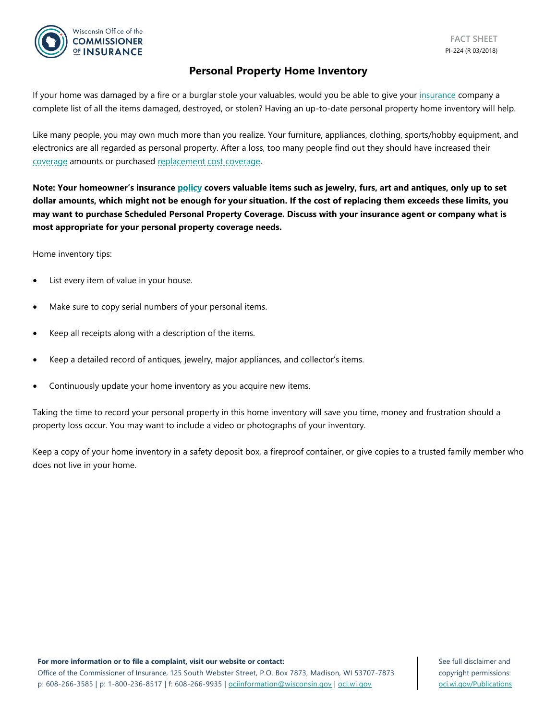

### **Personal Property Home Inventory**

If your home was damaged by a fire or a burglar stole your valuables, would you be able to give your [insurance](https://oci.wi.gov/Pages/Consumers/Glossary.aspx#insurance) company a complete list of all the items damaged, destroyed, or stolen? Having an up-to-date personal property home inventory will help.

Like many people, you may own much more than you realize. Your furniture, appliances, clothing, sports/hobby equipment, and electronics are all regarded as personal property. After a loss, too many people find out they should have increased their [coverage](https://oci.wi.gov/Pages/Consumers/Glossary.aspx#coverage) amounts or purchased [replacement cost coverage.](https://oci.wi.gov/Pages/Consumers/Glossary.aspx#replacementcostcoverage)

**Note: Your homeowner's insurance [policy](https://oci.wi.gov/Pages/Consumers/Glossary.aspx#policy) covers valuable items such as jewelry, furs, art and antiques, only up to set dollar amounts, which might not be enough for your situation. If the cost of replacing them exceeds these limits, you may want to purchase Scheduled Personal Property Coverage. Discuss with your insurance agent or company what is most appropriate for your personal property coverage needs.**

Home inventory tips:

- List every item of value in your house.
- Make sure to copy serial numbers of your personal items.
- Keep all receipts along with a description of the items.
- Keep a detailed record of antiques, jewelry, major appliances, and collector's items.
- Continuously update your home inventory as you acquire new items.

Taking the time to record your personal property in this home inventory will save you time, money and frustration should a property loss occur. You may want to include a video or photographs of your inventory.

Keep a copy of your home inventory in a safety deposit box, a fireproof container, or give copies to a trusted family member who does not live in your home.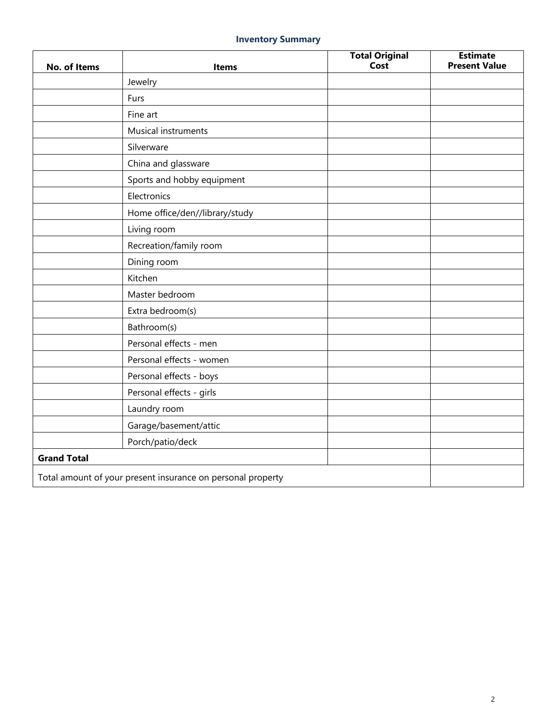# **Inventory Summary**

| No. of Items       | <b>Items</b>                                                | <b>Total Original</b><br>Cost | <b>Estimate</b><br><b>Present Value</b> |
|--------------------|-------------------------------------------------------------|-------------------------------|-----------------------------------------|
|                    | Jewelry                                                     |                               |                                         |
|                    | Furs                                                        |                               |                                         |
|                    | Fine art                                                    |                               |                                         |
|                    | Musical instruments                                         |                               |                                         |
|                    | Silverware                                                  |                               |                                         |
|                    | China and glassware                                         |                               |                                         |
|                    | Sports and hobby equipment                                  |                               |                                         |
|                    | Electronics                                                 |                               |                                         |
|                    | Home office/den//library/study                              |                               |                                         |
|                    | Living room                                                 |                               |                                         |
|                    | Recreation/family room                                      |                               |                                         |
|                    | Dining room                                                 |                               |                                         |
|                    | Kitchen                                                     |                               |                                         |
|                    | Master bedroom                                              |                               |                                         |
|                    | Extra bedroom(s)                                            |                               |                                         |
|                    | Bathroom(s)                                                 |                               |                                         |
|                    | Personal effects - men                                      |                               |                                         |
|                    | Personal effects - women                                    |                               |                                         |
|                    | Personal effects - boys                                     |                               |                                         |
|                    | Personal effects - girls                                    |                               |                                         |
|                    | Laundry room                                                |                               |                                         |
|                    | Garage/basement/attic                                       |                               |                                         |
|                    | Porch/patio/deck                                            |                               |                                         |
| <b>Grand Total</b> |                                                             |                               |                                         |
|                    | Total amount of your present insurance on personal property |                               |                                         |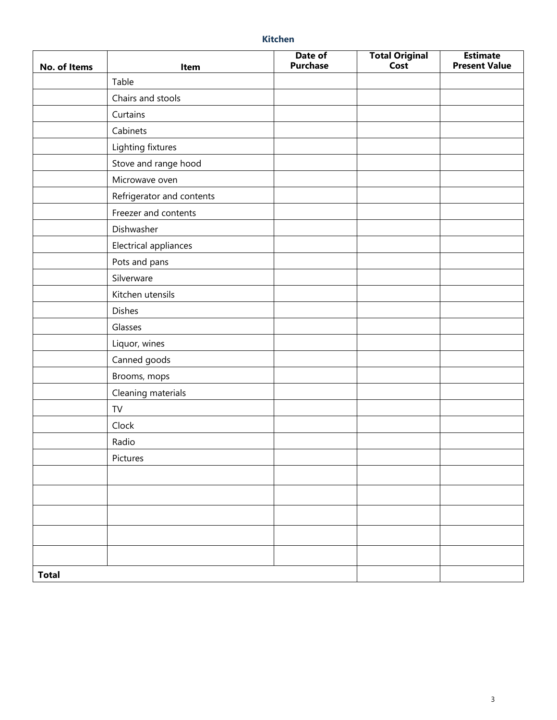| No. of Items | Item                      | Date of<br><b>Purchase</b> | Total Original<br>Cost | <b>Estimate</b><br><b>Present Value</b> |
|--------------|---------------------------|----------------------------|------------------------|-----------------------------------------|
|              | Table                     |                            |                        |                                         |
|              | Chairs and stools         |                            |                        |                                         |
|              | Curtains                  |                            |                        |                                         |
|              | Cabinets                  |                            |                        |                                         |
|              | Lighting fixtures         |                            |                        |                                         |
|              | Stove and range hood      |                            |                        |                                         |
|              | Microwave oven            |                            |                        |                                         |
|              | Refrigerator and contents |                            |                        |                                         |
|              | Freezer and contents      |                            |                        |                                         |
|              | Dishwasher                |                            |                        |                                         |
|              | Electrical appliances     |                            |                        |                                         |
|              | Pots and pans             |                            |                        |                                         |
|              | Silverware                |                            |                        |                                         |
|              | Kitchen utensils          |                            |                        |                                         |
|              | <b>Dishes</b>             |                            |                        |                                         |
|              | Glasses                   |                            |                        |                                         |
|              | Liquor, wines             |                            |                        |                                         |
|              | Canned goods              |                            |                        |                                         |
|              | Brooms, mops              |                            |                        |                                         |
|              | Cleaning materials        |                            |                        |                                         |
|              | TV                        |                            |                        |                                         |
|              | Clock                     |                            |                        |                                         |
|              | Radio                     |                            |                        |                                         |
|              | Pictures                  |                            |                        |                                         |
|              |                           |                            |                        |                                         |
|              |                           |                            |                        |                                         |
|              |                           |                            |                        |                                         |
|              |                           |                            |                        |                                         |
|              |                           |                            |                        |                                         |
|              |                           |                            |                        |                                         |
| <b>Total</b> |                           |                            |                        |                                         |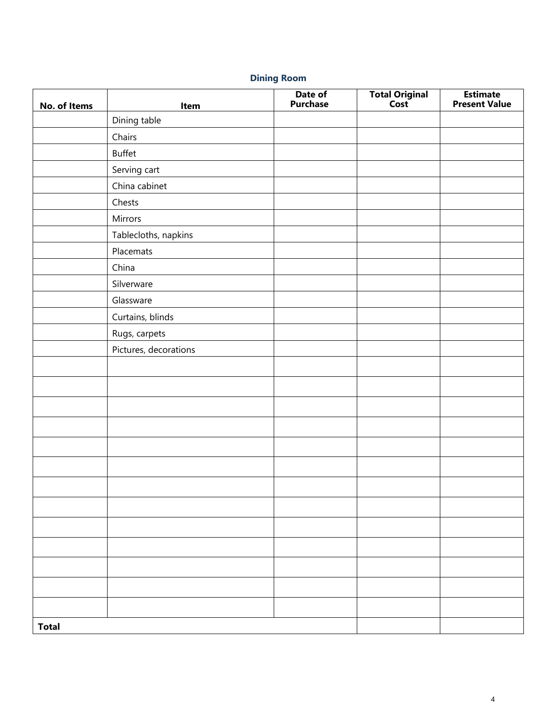# **Dining Room**

| No. of Items | Item                  | Date of<br>Purchase | <b>Total Original</b><br>Cost | <b>Estimate</b><br><b>Present Value</b> |
|--------------|-----------------------|---------------------|-------------------------------|-----------------------------------------|
|              | Dining table          |                     |                               |                                         |
|              | Chairs                |                     |                               |                                         |
|              | Buffet                |                     |                               |                                         |
|              | Serving cart          |                     |                               |                                         |
|              | China cabinet         |                     |                               |                                         |
|              | Chests                |                     |                               |                                         |
|              | Mirrors               |                     |                               |                                         |
|              | Tablecloths, napkins  |                     |                               |                                         |
|              | Placemats             |                     |                               |                                         |
|              | China                 |                     |                               |                                         |
|              | Silverware            |                     |                               |                                         |
|              | Glassware             |                     |                               |                                         |
|              | Curtains, blinds      |                     |                               |                                         |
|              | Rugs, carpets         |                     |                               |                                         |
|              | Pictures, decorations |                     |                               |                                         |
|              |                       |                     |                               |                                         |
|              |                       |                     |                               |                                         |
|              |                       |                     |                               |                                         |
|              |                       |                     |                               |                                         |
|              |                       |                     |                               |                                         |
|              |                       |                     |                               |                                         |
|              |                       |                     |                               |                                         |
|              |                       |                     |                               |                                         |
|              |                       |                     |                               |                                         |
|              |                       |                     |                               |                                         |
|              |                       |                     |                               |                                         |
|              |                       |                     |                               |                                         |
|              |                       |                     |                               |                                         |
| <b>Total</b> |                       |                     |                               |                                         |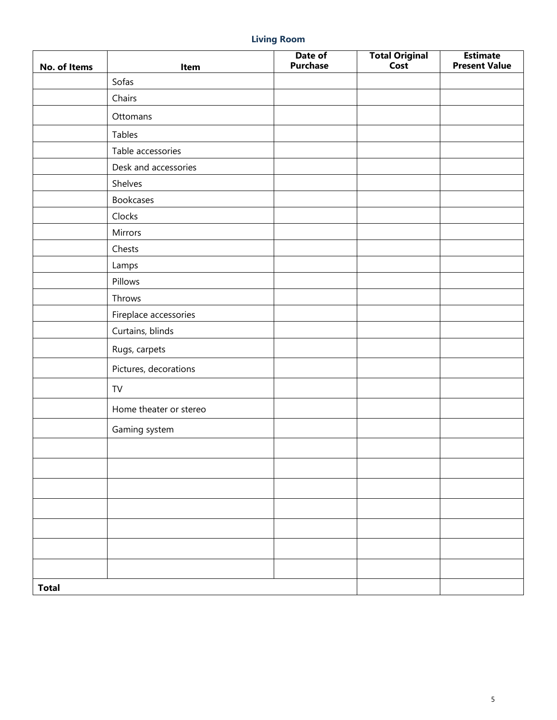# **Living Room**

| No. of Items | Item                   | Date of<br><b>Purchase</b> | Total Original | <b>Estimate</b><br><b>Present Value</b> |
|--------------|------------------------|----------------------------|----------------|-----------------------------------------|
|              | Sofas                  |                            |                |                                         |
|              | Chairs                 |                            |                |                                         |
|              | Ottomans               |                            |                |                                         |
|              | Tables                 |                            |                |                                         |
|              | Table accessories      |                            |                |                                         |
|              | Desk and accessories   |                            |                |                                         |
|              | Shelves                |                            |                |                                         |
|              | <b>Bookcases</b>       |                            |                |                                         |
|              | Clocks                 |                            |                |                                         |
|              | Mirrors                |                            |                |                                         |
|              | Chests                 |                            |                |                                         |
|              | Lamps                  |                            |                |                                         |
|              | Pillows                |                            |                |                                         |
|              | Throws                 |                            |                |                                         |
|              | Fireplace accessories  |                            |                |                                         |
|              | Curtains, blinds       |                            |                |                                         |
|              | Rugs, carpets          |                            |                |                                         |
|              | Pictures, decorations  |                            |                |                                         |
|              | TV                     |                            |                |                                         |
|              | Home theater or stereo |                            |                |                                         |
|              | Gaming system          |                            |                |                                         |
|              |                        |                            |                |                                         |
|              |                        |                            |                |                                         |
|              |                        |                            |                |                                         |
|              |                        |                            |                |                                         |
|              |                        |                            |                |                                         |
|              |                        |                            |                |                                         |
|              |                        |                            |                |                                         |
| <b>Total</b> |                        |                            |                |                                         |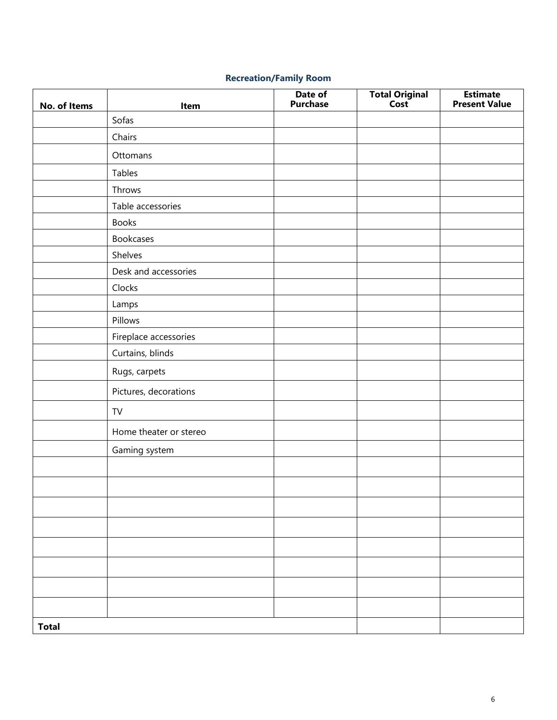# **Recreation/Family Room**

| No. of Items | Item                   | Date of<br><b>Purchase</b> | <b>Total Original</b><br>Cost | <b>Estimate</b><br><b>Present Value</b> |
|--------------|------------------------|----------------------------|-------------------------------|-----------------------------------------|
|              | Sofas                  |                            |                               |                                         |
|              | Chairs                 |                            |                               |                                         |
|              | Ottomans               |                            |                               |                                         |
|              | Tables                 |                            |                               |                                         |
|              | Throws                 |                            |                               |                                         |
|              | Table accessories      |                            |                               |                                         |
|              | <b>Books</b>           |                            |                               |                                         |
|              | <b>Bookcases</b>       |                            |                               |                                         |
|              | Shelves                |                            |                               |                                         |
|              | Desk and accessories   |                            |                               |                                         |
|              | Clocks                 |                            |                               |                                         |
|              | Lamps                  |                            |                               |                                         |
|              | Pillows                |                            |                               |                                         |
|              | Fireplace accessories  |                            |                               |                                         |
|              | Curtains, blinds       |                            |                               |                                         |
|              | Rugs, carpets          |                            |                               |                                         |
|              | Pictures, decorations  |                            |                               |                                         |
|              | TV                     |                            |                               |                                         |
|              | Home theater or stereo |                            |                               |                                         |
|              | Gaming system          |                            |                               |                                         |
|              |                        |                            |                               |                                         |
|              |                        |                            |                               |                                         |
|              |                        |                            |                               |                                         |
|              |                        |                            |                               |                                         |
|              |                        |                            |                               |                                         |
|              |                        |                            |                               |                                         |
|              |                        |                            |                               |                                         |
|              |                        |                            |                               |                                         |
| <b>Total</b> |                        |                            |                               |                                         |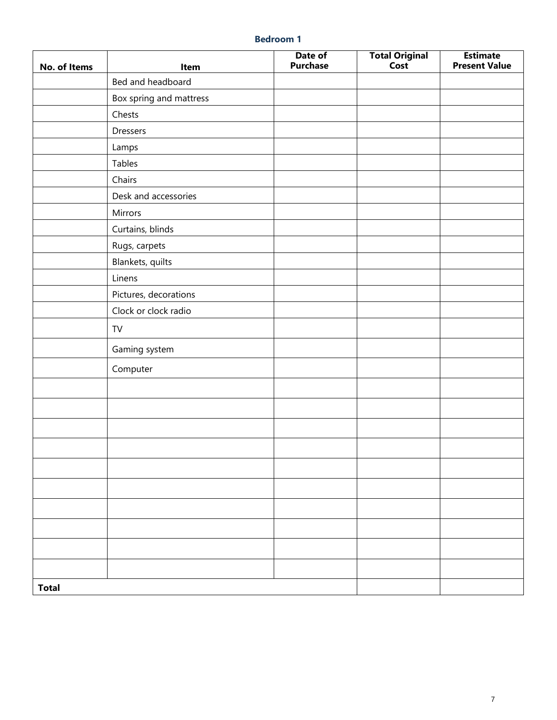| No. of Items | Item                    | Date of<br><b>Purchase</b> | Total Original<br>Cost | <b>Estimate</b><br><b>Present Value</b> |
|--------------|-------------------------|----------------------------|------------------------|-----------------------------------------|
|              | Bed and headboard       |                            |                        |                                         |
|              | Box spring and mattress |                            |                        |                                         |
|              | Chests                  |                            |                        |                                         |
|              | Dressers                |                            |                        |                                         |
|              | Lamps                   |                            |                        |                                         |
|              | Tables                  |                            |                        |                                         |
|              | Chairs                  |                            |                        |                                         |
|              | Desk and accessories    |                            |                        |                                         |
|              | Mirrors                 |                            |                        |                                         |
|              | Curtains, blinds        |                            |                        |                                         |
|              | Rugs, carpets           |                            |                        |                                         |
|              | Blankets, quilts        |                            |                        |                                         |
|              | Linens                  |                            |                        |                                         |
|              | Pictures, decorations   |                            |                        |                                         |
|              | Clock or clock radio    |                            |                        |                                         |
|              | TV                      |                            |                        |                                         |
|              | Gaming system           |                            |                        |                                         |
|              | Computer                |                            |                        |                                         |
|              |                         |                            |                        |                                         |
|              |                         |                            |                        |                                         |
|              |                         |                            |                        |                                         |
|              |                         |                            |                        |                                         |
|              |                         |                            |                        |                                         |
|              |                         |                            |                        |                                         |
|              |                         |                            |                        |                                         |
|              |                         |                            |                        |                                         |
|              |                         |                            |                        |                                         |
|              |                         |                            |                        |                                         |
| <b>Total</b> |                         |                            |                        |                                         |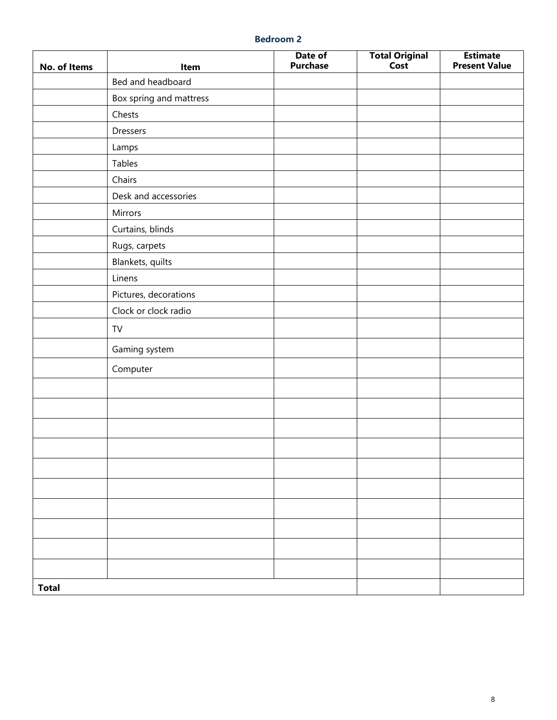| No. of Items | Item                    | Date of<br><b>Purchase</b> | <b>Total Original</b><br>Cost | <b>Estimate</b><br><b>Present Value</b> |
|--------------|-------------------------|----------------------------|-------------------------------|-----------------------------------------|
|              | Bed and headboard       |                            |                               |                                         |
|              | Box spring and mattress |                            |                               |                                         |
|              | Chests                  |                            |                               |                                         |
|              | Dressers                |                            |                               |                                         |
|              | Lamps                   |                            |                               |                                         |
|              | Tables                  |                            |                               |                                         |
|              | Chairs                  |                            |                               |                                         |
|              | Desk and accessories    |                            |                               |                                         |
|              | Mirrors                 |                            |                               |                                         |
|              | Curtains, blinds        |                            |                               |                                         |
|              | Rugs, carpets           |                            |                               |                                         |
|              | Blankets, quilts        |                            |                               |                                         |
|              | Linens                  |                            |                               |                                         |
|              | Pictures, decorations   |                            |                               |                                         |
|              | Clock or clock radio    |                            |                               |                                         |
|              | TV                      |                            |                               |                                         |
|              | Gaming system           |                            |                               |                                         |
|              | Computer                |                            |                               |                                         |
|              |                         |                            |                               |                                         |
|              |                         |                            |                               |                                         |
|              |                         |                            |                               |                                         |
|              |                         |                            |                               |                                         |
|              |                         |                            |                               |                                         |
|              |                         |                            |                               |                                         |
|              |                         |                            |                               |                                         |
|              |                         |                            |                               |                                         |
|              |                         |                            |                               |                                         |
|              |                         |                            |                               |                                         |
| <b>Total</b> |                         |                            |                               |                                         |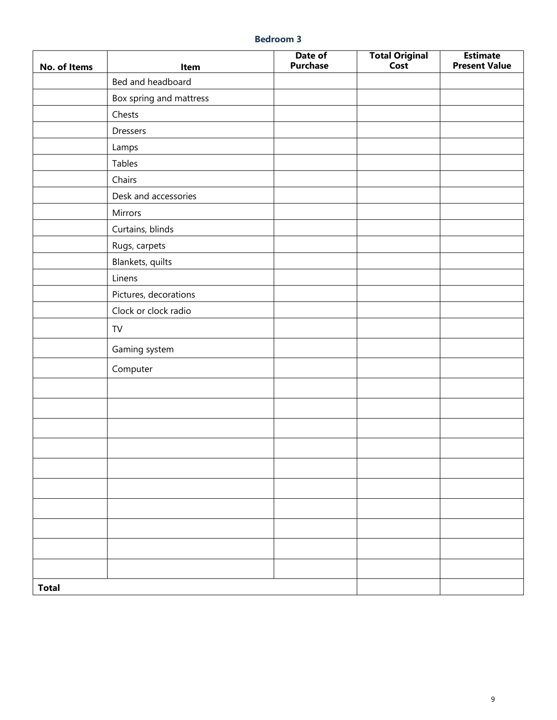| No. of Items | Item                    | Date of<br><b>Purchase</b> | <b>Total Original</b><br>Cost | <b>Estimate</b><br><b>Present Value</b> |
|--------------|-------------------------|----------------------------|-------------------------------|-----------------------------------------|
|              | Bed and headboard       |                            |                               |                                         |
|              | Box spring and mattress |                            |                               |                                         |
|              | Chests                  |                            |                               |                                         |
|              | Dressers                |                            |                               |                                         |
|              | Lamps                   |                            |                               |                                         |
|              | Tables                  |                            |                               |                                         |
|              | Chairs                  |                            |                               |                                         |
|              | Desk and accessories    |                            |                               |                                         |
|              | Mirrors                 |                            |                               |                                         |
|              | Curtains, blinds        |                            |                               |                                         |
|              | Rugs, carpets           |                            |                               |                                         |
|              | Blankets, quilts        |                            |                               |                                         |
|              | Linens                  |                            |                               |                                         |
|              | Pictures, decorations   |                            |                               |                                         |
|              | Clock or clock radio    |                            |                               |                                         |
|              | TV                      |                            |                               |                                         |
|              | Gaming system           |                            |                               |                                         |
|              | Computer                |                            |                               |                                         |
|              |                         |                            |                               |                                         |
|              |                         |                            |                               |                                         |
|              |                         |                            |                               |                                         |
|              |                         |                            |                               |                                         |
|              |                         |                            |                               |                                         |
|              |                         |                            |                               |                                         |
|              |                         |                            |                               |                                         |
|              |                         |                            |                               |                                         |
|              |                         |                            |                               |                                         |
|              |                         |                            |                               |                                         |
| <b>Total</b> |                         |                            |                               |                                         |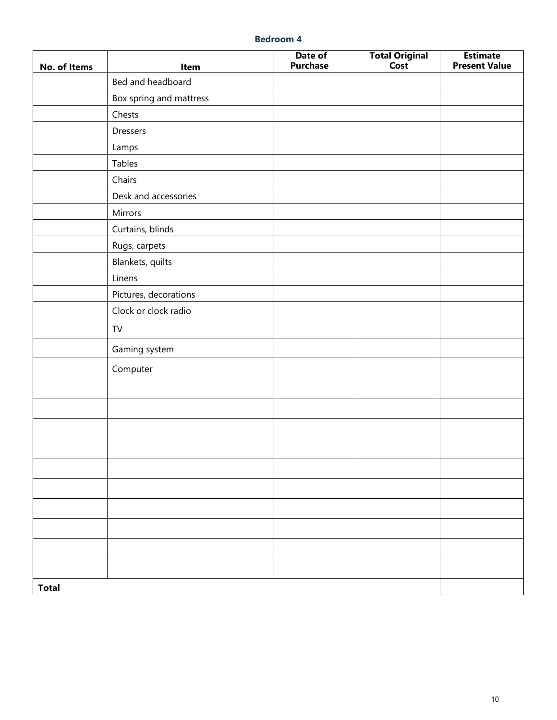| No. of Items | Item                    | Date of<br><b>Purchase</b> | <b>Total Original</b><br>Cost | <b>Estimate</b><br><b>Present Value</b> |
|--------------|-------------------------|----------------------------|-------------------------------|-----------------------------------------|
|              | Bed and headboard       |                            |                               |                                         |
|              | Box spring and mattress |                            |                               |                                         |
|              | Chests                  |                            |                               |                                         |
|              | Dressers                |                            |                               |                                         |
|              | Lamps                   |                            |                               |                                         |
|              | Tables                  |                            |                               |                                         |
|              | Chairs                  |                            |                               |                                         |
|              | Desk and accessories    |                            |                               |                                         |
|              | Mirrors                 |                            |                               |                                         |
|              | Curtains, blinds        |                            |                               |                                         |
|              | Rugs, carpets           |                            |                               |                                         |
|              | Blankets, quilts        |                            |                               |                                         |
|              | Linens                  |                            |                               |                                         |
|              | Pictures, decorations   |                            |                               |                                         |
|              | Clock or clock radio    |                            |                               |                                         |
|              | TV                      |                            |                               |                                         |
|              | Gaming system           |                            |                               |                                         |
|              | Computer                |                            |                               |                                         |
|              |                         |                            |                               |                                         |
|              |                         |                            |                               |                                         |
|              |                         |                            |                               |                                         |
|              |                         |                            |                               |                                         |
|              |                         |                            |                               |                                         |
|              |                         |                            |                               |                                         |
|              |                         |                            |                               |                                         |
|              |                         |                            |                               |                                         |
|              |                         |                            |                               |                                         |
|              |                         |                            |                               |                                         |
| <b>Total</b> |                         |                            |                               |                                         |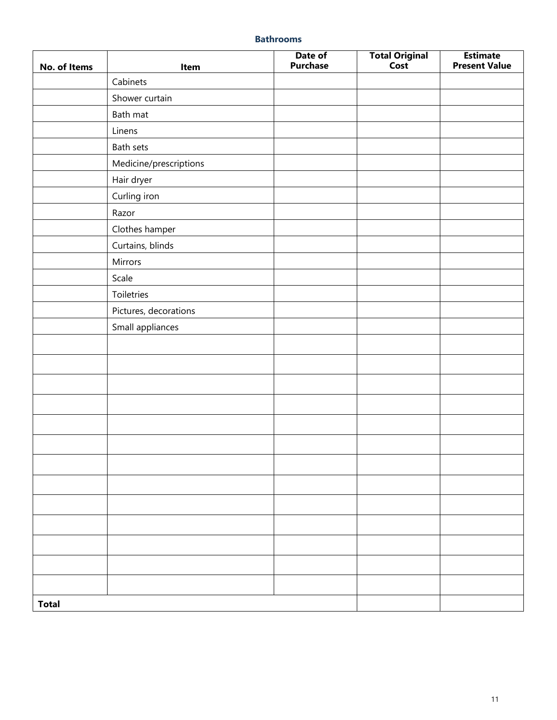#### **Bathrooms**

| No. of Items | Item                   | Date of<br><b>Purchase</b> | <b>Total Original</b><br>Cost | <b>Estimate</b><br><b>Present Value</b> |
|--------------|------------------------|----------------------------|-------------------------------|-----------------------------------------|
|              | Cabinets               |                            |                               |                                         |
|              | Shower curtain         |                            |                               |                                         |
|              | Bath mat               |                            |                               |                                         |
|              | Linens                 |                            |                               |                                         |
|              | Bath sets              |                            |                               |                                         |
|              | Medicine/prescriptions |                            |                               |                                         |
|              | Hair dryer             |                            |                               |                                         |
|              | Curling iron           |                            |                               |                                         |
|              | Razor                  |                            |                               |                                         |
|              | Clothes hamper         |                            |                               |                                         |
|              | Curtains, blinds       |                            |                               |                                         |
|              | Mirrors                |                            |                               |                                         |
|              | Scale                  |                            |                               |                                         |
|              | Toiletries             |                            |                               |                                         |
|              | Pictures, decorations  |                            |                               |                                         |
|              | Small appliances       |                            |                               |                                         |
|              |                        |                            |                               |                                         |
|              |                        |                            |                               |                                         |
|              |                        |                            |                               |                                         |
|              |                        |                            |                               |                                         |
|              |                        |                            |                               |                                         |
|              |                        |                            |                               |                                         |
|              |                        |                            |                               |                                         |
|              |                        |                            |                               |                                         |
|              |                        |                            |                               |                                         |
|              |                        |                            |                               |                                         |
|              |                        |                            |                               |                                         |
|              |                        |                            |                               |                                         |
|              |                        |                            |                               |                                         |
| <b>Total</b> |                        |                            |                               |                                         |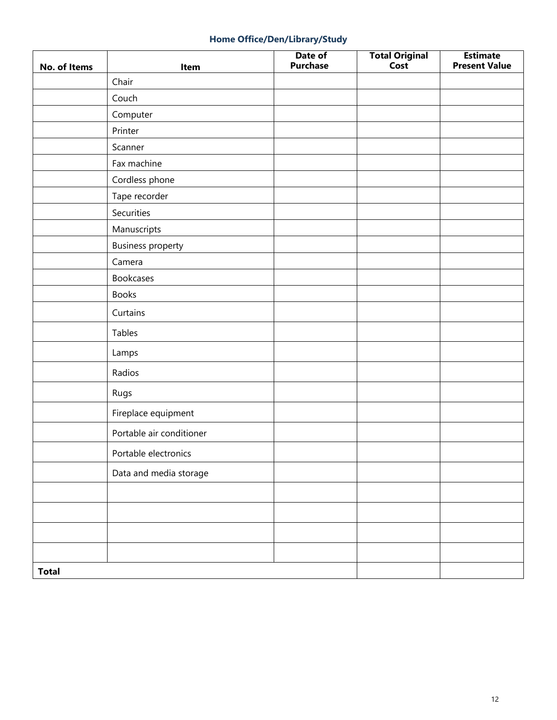# **Home Office/Den/Library/Study**

| No. of Items | Item                     | Date of<br><b>Purchase</b> | <b>Total Original</b><br>Cost | <b>Estimate</b><br><b>Present Value</b> |
|--------------|--------------------------|----------------------------|-------------------------------|-----------------------------------------|
|              | Chair                    |                            |                               |                                         |
|              | Couch                    |                            |                               |                                         |
|              | Computer                 |                            |                               |                                         |
|              | Printer                  |                            |                               |                                         |
|              | Scanner                  |                            |                               |                                         |
|              | Fax machine              |                            |                               |                                         |
|              | Cordless phone           |                            |                               |                                         |
|              | Tape recorder            |                            |                               |                                         |
|              | Securities               |                            |                               |                                         |
|              | Manuscripts              |                            |                               |                                         |
|              | <b>Business property</b> |                            |                               |                                         |
|              | Camera                   |                            |                               |                                         |
|              | <b>Bookcases</b>         |                            |                               |                                         |
|              | <b>Books</b>             |                            |                               |                                         |
|              | Curtains                 |                            |                               |                                         |
|              | Tables                   |                            |                               |                                         |
|              | Lamps                    |                            |                               |                                         |
|              | Radios                   |                            |                               |                                         |
|              | Rugs                     |                            |                               |                                         |
|              | Fireplace equipment      |                            |                               |                                         |
|              | Portable air conditioner |                            |                               |                                         |
|              | Portable electronics     |                            |                               |                                         |
|              | Data and media storage   |                            |                               |                                         |
|              |                          |                            |                               |                                         |
|              |                          |                            |                               |                                         |
|              |                          |                            |                               |                                         |
|              |                          |                            |                               |                                         |
| <b>Total</b> |                          |                            |                               |                                         |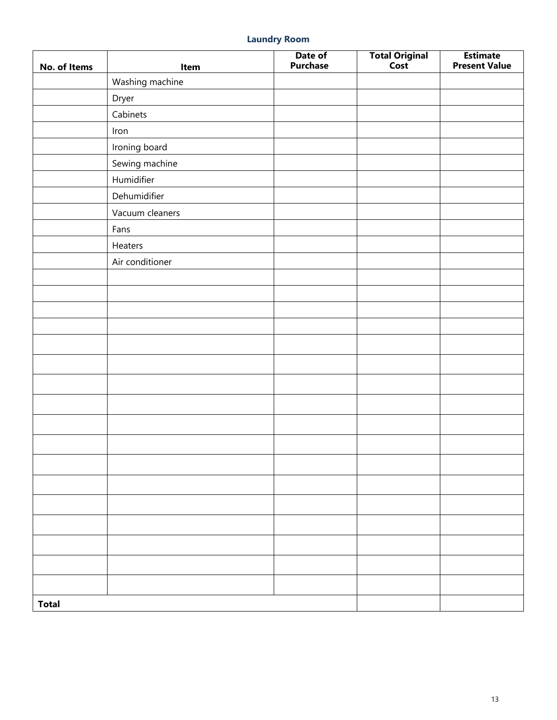# **Laundry Room**

| No. of Items | Item            | Date of<br><b>Purchase</b> | Total Original<br>Cost | <b>Estimate</b><br><b>Present Value</b> |
|--------------|-----------------|----------------------------|------------------------|-----------------------------------------|
|              | Washing machine |                            |                        |                                         |
|              | Dryer           |                            |                        |                                         |
|              | Cabinets        |                            |                        |                                         |
|              | Iron            |                            |                        |                                         |
|              | Ironing board   |                            |                        |                                         |
|              | Sewing machine  |                            |                        |                                         |
|              | Humidifier      |                            |                        |                                         |
|              | Dehumidifier    |                            |                        |                                         |
|              | Vacuum cleaners |                            |                        |                                         |
|              | Fans            |                            |                        |                                         |
|              | Heaters         |                            |                        |                                         |
|              | Air conditioner |                            |                        |                                         |
|              |                 |                            |                        |                                         |
|              |                 |                            |                        |                                         |
|              |                 |                            |                        |                                         |
|              |                 |                            |                        |                                         |
|              |                 |                            |                        |                                         |
|              |                 |                            |                        |                                         |
|              |                 |                            |                        |                                         |
|              |                 |                            |                        |                                         |
|              |                 |                            |                        |                                         |
|              |                 |                            |                        |                                         |
|              |                 |                            |                        |                                         |
|              |                 |                            |                        |                                         |
|              |                 |                            |                        |                                         |
|              |                 |                            |                        |                                         |
|              |                 |                            |                        |                                         |
|              |                 |                            |                        |                                         |
|              |                 |                            |                        |                                         |
| <b>Total</b> |                 |                            |                        |                                         |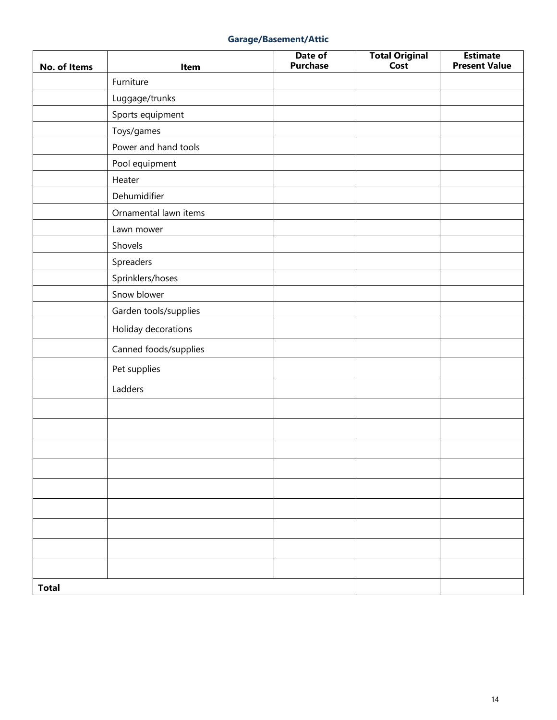### **Garage/Basement/Attic**

| No. of Items | Item                  | Date of<br><b>Purchase</b> | Total Original<br>Cost | <b>Estimate</b><br><b>Present Value</b> |
|--------------|-----------------------|----------------------------|------------------------|-----------------------------------------|
|              | Furniture             |                            |                        |                                         |
|              | Luggage/trunks        |                            |                        |                                         |
|              | Sports equipment      |                            |                        |                                         |
|              | Toys/games            |                            |                        |                                         |
|              | Power and hand tools  |                            |                        |                                         |
|              | Pool equipment        |                            |                        |                                         |
|              | Heater                |                            |                        |                                         |
|              | Dehumidifier          |                            |                        |                                         |
|              | Ornamental lawn items |                            |                        |                                         |
|              | Lawn mower            |                            |                        |                                         |
|              | Shovels               |                            |                        |                                         |
|              | Spreaders             |                            |                        |                                         |
|              | Sprinklers/hoses      |                            |                        |                                         |
|              | Snow blower           |                            |                        |                                         |
|              | Garden tools/supplies |                            |                        |                                         |
|              | Holiday decorations   |                            |                        |                                         |
|              | Canned foods/supplies |                            |                        |                                         |
|              | Pet supplies          |                            |                        |                                         |
|              | Ladders               |                            |                        |                                         |
|              |                       |                            |                        |                                         |
|              |                       |                            |                        |                                         |
|              |                       |                            |                        |                                         |
|              |                       |                            |                        |                                         |
|              |                       |                            |                        |                                         |
|              |                       |                            |                        |                                         |
|              |                       |                            |                        |                                         |
|              |                       |                            |                        |                                         |
|              |                       |                            |                        |                                         |
| <b>Total</b> |                       |                            |                        |                                         |